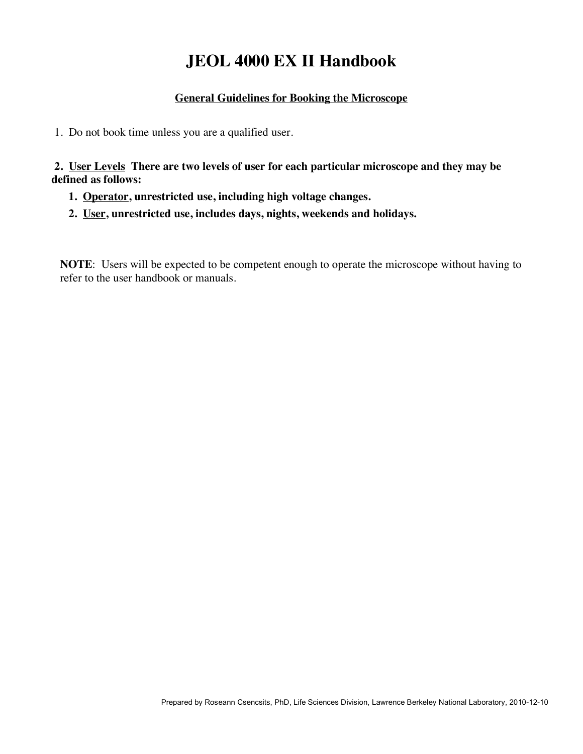# **JEOL 4000 EX II Handbook**

#### **General Guidelines for Booking the Microscope**

1. Do not book time unless you are a qualified user.

 **2. User Levels There are two levels of user for each particular microscope and they may be defined as follows:** 

- **1. Operator, unrestricted use, including high voltage changes.**
- **2. User, unrestricted use, includes days, nights, weekends and holidays.**

**NOTE**: Users will be expected to be competent enough to operate the microscope without having to refer to the user handbook or manuals.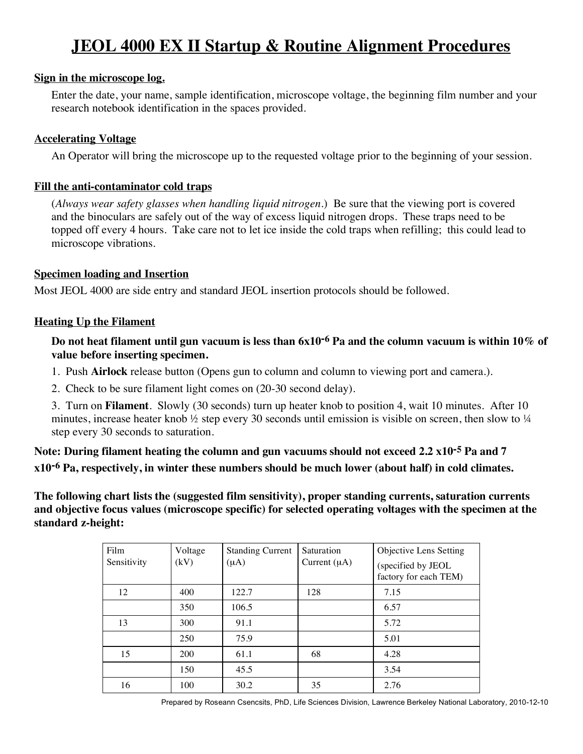# **JEOL 4000 EX II Startup & Routine Alignment Procedures**

#### **Sign in the microscope log.**

Enter the date, your name, sample identification, microscope voltage, the beginning film number and your research notebook identification in the spaces provided.

#### **Accelerating Voltage**

An Operator will bring the microscope up to the requested voltage prior to the beginning of your session.

#### **Fill the anti-contaminator cold traps**

(*Always wear safety glasses when handling liquid nitrogen.*) Be sure that the viewing port is covered and the binoculars are safely out of the way of excess liquid nitrogen drops. These traps need to be topped off every 4 hours. Take care not to let ice inside the cold traps when refilling; this could lead to microscope vibrations.

#### **Specimen loading and Insertion**

Most JEOL 4000 are side entry and standard JEOL insertion protocols should be followed.

#### **Heating Up the Filament**

**Do not heat filament until gun vacuum is less than 6x10-6 Pa and the column vacuum is within 10% of value before inserting specimen.**

- 1. Push **Airlock** release button (Opens gun to column and column to viewing port and camera.).
- 2. Check to be sure filament light comes on (20-30 second delay).

3. Turn on **Filament**. Slowly (30 seconds) turn up heater knob to position 4, wait 10 minutes. After 10 minutes, increase heater knob  $\frac{1}{2}$  step every 30 seconds until emission is visible on screen, then slow to  $\frac{1}{4}$ step every 30 seconds to saturation.

**Note: During filament heating the column and gun vacuums should not exceed 2.2 x10-5 Pa and 7 x10-6 Pa, respectively, in winter these numbers should be much lower (about half) in cold climates.**

**The following chart lists the (suggested film sensitivity), proper standing currents, saturation currents and objective focus values (microscope specific) for selected operating voltages with the specimen at the standard z-height:**

| Film<br>Sensitivity | Voltage<br>(kV) | <b>Standing Current</b><br>$(\mu A)$ | <b>Saturation</b><br>Current $(\mu A)$ | <b>Objective Lens Setting</b><br>(specified by JEOL<br>factory for each TEM) |
|---------------------|-----------------|--------------------------------------|----------------------------------------|------------------------------------------------------------------------------|
| 12                  | 400             | 122.7                                | 128                                    | 7.15                                                                         |
|                     | 350             | 106.5                                |                                        | 6.57                                                                         |
| 13                  | 300             | 91.1                                 |                                        | 5.72                                                                         |
|                     | 250             | 75.9                                 |                                        | 5.01                                                                         |
| 15                  | 200             | 61.1                                 | 68                                     | 4.28                                                                         |
|                     | 150             | 45.5                                 |                                        | 3.54                                                                         |
| 16                  | 100             | 30.2                                 | 35                                     | 2.76                                                                         |

Prepared by Roseann Csencsits, PhD, Life Sciences Division, Lawrence Berkeley National Laboratory, 2010-12-10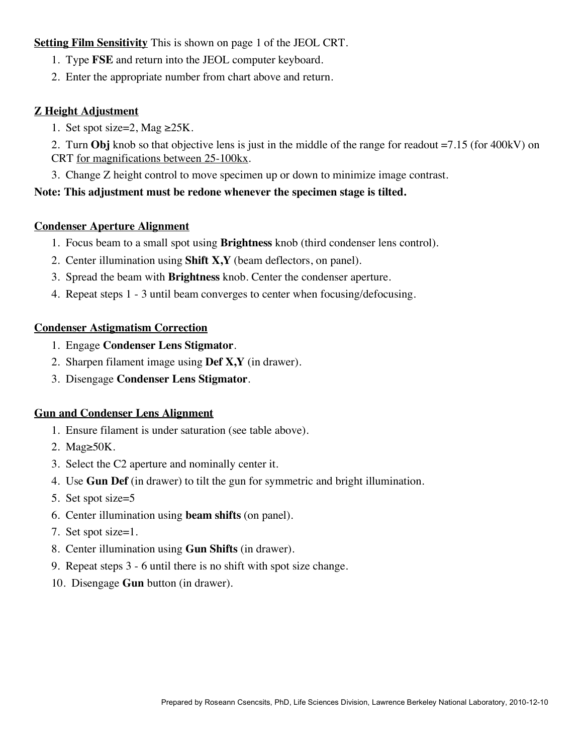#### **Setting Film Sensitivity** This is shown on page 1 of the JEOL CRT.

- 1. Type **FSE** and return into the JEOL computer keyboard.
- 2. Enter the appropriate number from chart above and return.

#### **Z Height Adjustment**

- 1. Set spot size=2, Mag  $\geq$ 25K.
- 2. Turn **Obj** knob so that objective lens is just in the middle of the range for readout =7.15 (for 400kV) on CRT for magnifications between 25-100kx.
- 3. Change Z height control to move specimen up or down to minimize image contrast.

#### **Note: This adjustment must be redone whenever the specimen stage is tilted.**

#### **Condenser Aperture Alignment**

- 1. Focus beam to a small spot using **Brightness** knob (third condenser lens control).
- 2. Center illumination using **Shift X,Y** (beam deflectors, on panel).
- 3. Spread the beam with **Brightness** knob. Center the condenser aperture.
- 4. Repeat steps 1 3 until beam converges to center when focusing/defocusing.

#### **Condenser Astigmatism Correction**

- 1. Engage **Condenser Lens Stigmator**.
- 2. Sharpen filament image using **Def X,Y** (in drawer).
- 3. Disengage **Condenser Lens Stigmator**.

# **Gun and Condenser Lens Alignment**

- 1. Ensure filament is under saturation (see table above).
- 2. Mag≥50K.
- 3. Select the C2 aperture and nominally center it.
- 4. Use **Gun Def** (in drawer) to tilt the gun for symmetric and bright illumination.
- 5. Set spot size=5
- 6. Center illumination using **beam shifts** (on panel).
- 7. Set spot size=1.
- 8. Center illumination using **Gun Shifts** (in drawer).
- 9. Repeat steps 3 6 until there is no shift with spot size change.
- 10. Disengage **Gun** button (in drawer).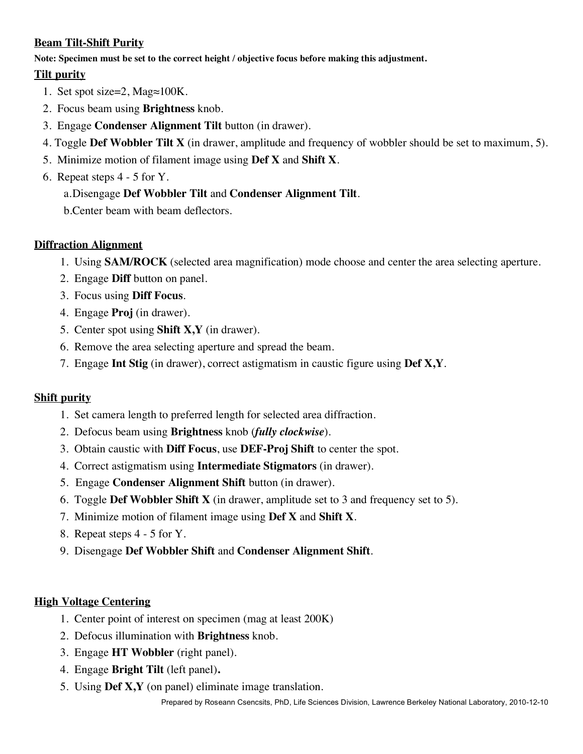# **Beam Tilt-Shift Purity**

**Note: Specimen must be set to the correct height / objective focus before making this adjustment.**

# **Tilt purity**

- 1. Set spot size=2, Mag≈100K.
- 2. Focus beam using **Brightness** knob.
- 3. Engage **Condenser Alignment Tilt** button (in drawer).
- 4. Toggle **Def Wobbler Tilt X** (in drawer, amplitude and frequency of wobbler should be set to maximum, 5).
- 5. Minimize motion of filament image using **Def X** and **Shift X**.
- 6. Repeat steps 4 5 for Y.

# a.Disengage **Def Wobbler Tilt** and **Condenser Alignment Tilt**.

b.Center beam with beam deflectors.

#### **Diffraction Alignment**

- 1. Using **SAM/ROCK** (selected area magnification) mode choose and center the area selecting aperture.
- 2. Engage **Diff** button on panel.
- 3. Focus using **Diff Focus**.
- 4. Engage **Proj** (in drawer).
- 5. Center spot using **Shift X,Y** (in drawer).
- 6. Remove the area selecting aperture and spread the beam.
- 7. Engage **Int Stig** (in drawer), correct astigmatism in caustic figure using **Def X,Y**.

# **Shift purity**

- 1. Set camera length to preferred length for selected area diffraction.
- 2. Defocus beam using **Brightness** knob (*fully clockwise*).
- 3. Obtain caustic with **Diff Focus**, use **DEF-Proj Shift** to center the spot.
- 4. Correct astigmatism using **Intermediate Stigmators** (in drawer).
- 5. Engage **Condenser Alignment Shift** button (in drawer).
- 6. Toggle **Def Wobbler Shift X** (in drawer, amplitude set to 3 and frequency set to 5).
- 7. Minimize motion of filament image using **Def X** and **Shift X**.
- 8. Repeat steps 4 5 for Y.
- 9. Disengage **Def Wobbler Shift** and **Condenser Alignment Shift**.

#### **High Voltage Centering**

- 1. Center point of interest on specimen (mag at least 200K)
- 2. Defocus illumination with **Brightness** knob.
- 3. Engage **HT Wobbler** (right panel).
- 4. Engage **Bright Tilt** (left panel)**.**
- 5. Using **Def X,Y** (on panel) eliminate image translation.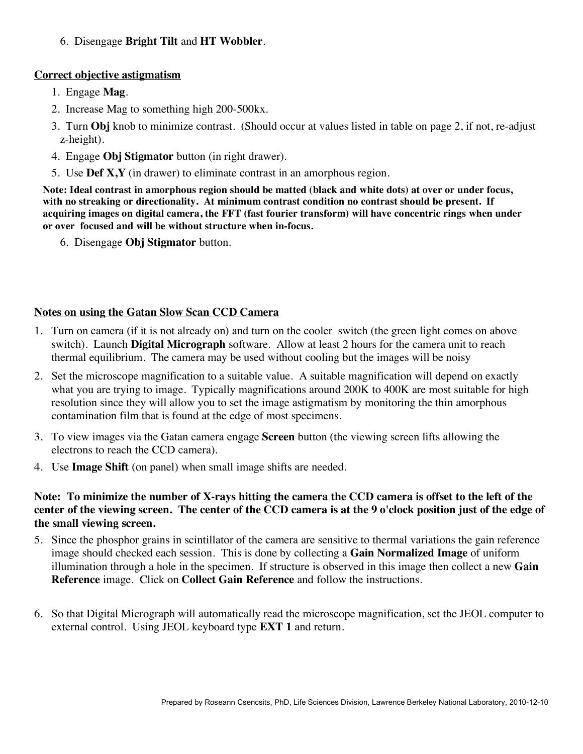6. Disengage **Bright Tilt** and **HT Wobbler**.

#### **Correct objective astigmatism**

- 1. Engage **Mag**.
- 2. Increase Mag to something high 200-500kx.
- 3. Turn **Obj** knob to minimize contrast. (Should occur at values listed in table on page 2, if not, re-adjust z-height).
- 4. Engage **Obj Stigmator** button (in right drawer).
- 5. Use **Def X,Y** (in drawer) to eliminate contrast in an amorphous region.

**Note: Ideal contrast in amorphous region should be matted (black and white dots) at over or under focus, with no streaking or directionality. At minimum contrast condition no contrast should be present. If acquiring images on digital camera, the FFT (fast fourier transform) will have concentric rings when under or over focused and will be without structure when in-focus.**

6. Disengage **Obj Stigmator** button.

# **Notes on using the Gatan Slow Scan CCD Camera**

- 1. Turn on camera (if it is not already on) and turn on the cooler switch (the green light comes on above switch). Launch **Digital Micrograph** software. Allow at least 2 hours for the camera unit to reach thermal equilibrium. The camera may be used without cooling but the images will be noisy
- 2. Set the microscope magnification to a suitable value. A suitable magnification will depend on exactly what you are trying to image. Typically magnifications around 200K to 400K are most suitable for high resolution since they will allow you to set the image astigmatism by monitoring the thin amorphous contamination film that is found at the edge of most specimens.
- 3. To view images via the Gatan camera engage **Screen** button (the viewing screen lifts allowing the electrons to reach the CCD camera).
- 4. Use **Image Shift** (on panel) when small image shifts are needed.

#### **Note: To minimize the number of X-rays hitting the camera the CCD camera is offset to the left of the center of the viewing screen. The center of the CCD camera is at the 9 o'clock position just of the edge of the small viewing screen.**

- 5. Since the phosphor grains in scintillator of the camera are sensitive to thermal variations the gain reference image should checked each session. This is done by collecting a **Gain Normalized Image** of uniform illumination through a hole in the specimen. If structure is observed in this image then collect a new **Gain Reference** image. Click on **Collect Gain Reference** and follow the instructions.
- 6. So that Digital Micrograph will automatically read the microscope magnification, set the JEOL computer to external control. Using JEOL keyboard type **EXT 1** and return.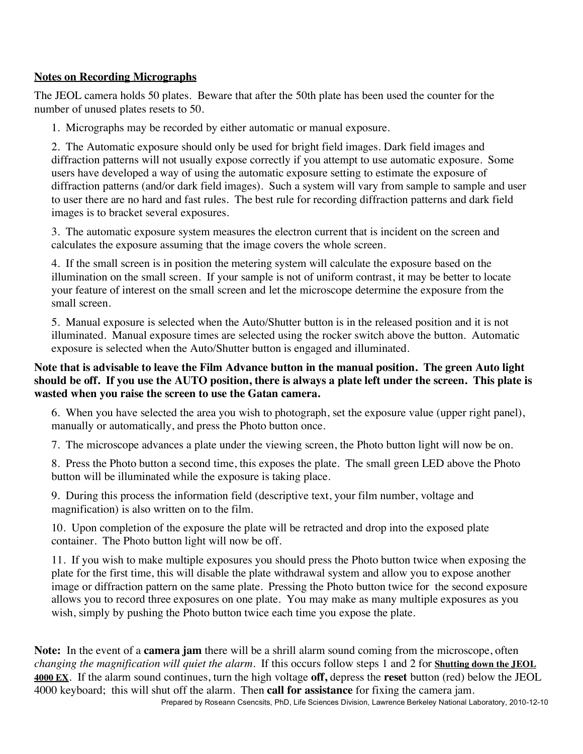# **Notes on Recording Micrographs**

The JEOL camera holds 50 plates. Beware that after the 50th plate has been used the counter for the number of unused plates resets to 50.

1. Micrographs may be recorded by either automatic or manual exposure.

2. The Automatic exposure should only be used for bright field images. Dark field images and diffraction patterns will not usually expose correctly if you attempt to use automatic exposure. Some users have developed a way of using the automatic exposure setting to estimate the exposure of diffraction patterns (and/or dark field images). Such a system will vary from sample to sample and user to user there are no hard and fast rules. The best rule for recording diffraction patterns and dark field images is to bracket several exposures.

3. The automatic exposure system measures the electron current that is incident on the screen and calculates the exposure assuming that the image covers the whole screen.

4. If the small screen is in position the metering system will calculate the exposure based on the illumination on the small screen. If your sample is not of uniform contrast, it may be better to locate your feature of interest on the small screen and let the microscope determine the exposure from the small screen.

5. Manual exposure is selected when the Auto/Shutter button is in the released position and it is not illuminated. Manual exposure times are selected using the rocker switch above the button. Automatic exposure is selected when the Auto/Shutter button is engaged and illuminated.

# **Note that is advisable to leave the Film Advance button in the manual position. The green Auto light should be off. If you use the AUTO position, there is always a plate left under the screen. This plate is wasted when you raise the screen to use the Gatan camera.**

6. When you have selected the area you wish to photograph, set the exposure value (upper right panel), manually or automatically, and press the Photo button once.

7. The microscope advances a plate under the viewing screen, the Photo button light will now be on.

8. Press the Photo button a second time, this exposes the plate. The small green LED above the Photo button will be illuminated while the exposure is taking place.

9. During this process the information field (descriptive text, your film number, voltage and magnification) is also written on to the film.

10. Upon completion of the exposure the plate will be retracted and drop into the exposed plate container. The Photo button light will now be off.

11. If you wish to make multiple exposures you should press the Photo button twice when exposing the plate for the first time, this will disable the plate withdrawal system and allow you to expose another image or diffraction pattern on the same plate. Pressing the Photo button twice for the second exposure allows you to record three exposures on one plate. You may make as many multiple exposures as you wish, simply by pushing the Photo button twice each time you expose the plate.

Prepared by Roseann Csencsits, PhD, Life Sciences Division, Lawrence Berkeley National Laboratory, 2010-12-10 **Note:** In the event of a **camera jam** there will be a shrill alarm sound coming from the microscope, often *changing the magnification will quiet the alarm*. If this occurs follow steps 1 and 2 for **Shutting down the JEOL 4000 EX**. If the alarm sound continues, turn the high voltage **off,** depress the **reset** button (red) below the JEOL 4000 keyboard; this will shut off the alarm. Then **call for assistance** for fixing the camera jam.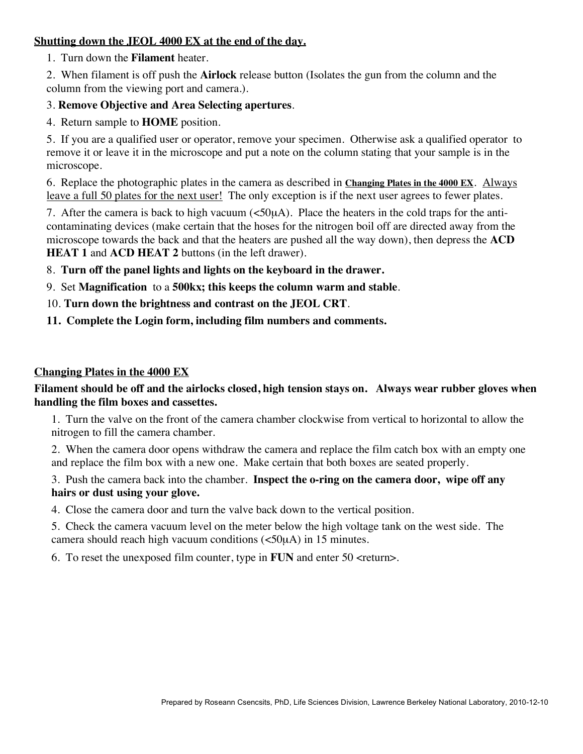#### **Shutting down the JEOL 4000 EX at the end of the day.**

1. Turn down the **Filament** heater.

2. When filament is off push the **Airlock** release button (Isolates the gun from the column and the column from the viewing port and camera.).

#### 3. **Remove Objective and Area Selecting apertures**.

4. Return sample to **HOME** position.

5. If you are a qualified user or operator, remove your specimen. Otherwise ask a qualified operator to remove it or leave it in the microscope and put a note on the column stating that your sample is in the microscope.

6. Replace the photographic plates in the camera as described in **Changing Plates in the 4000 EX**. Always leave a full 50 plates for the next user! The only exception is if the next user agrees to fewer plates.

7. After the camera is back to high vacuum  $(\leq 50\mu A)$ . Place the heaters in the cold traps for the anticontaminating devices (make certain that the hoses for the nitrogen boil off are directed away from the microscope towards the back and that the heaters are pushed all the way down), then depress the **ACD HEAT 1** and **ACD HEAT 2** buttons (in the left drawer).

8. **Turn off the panel lights and lights on the keyboard in the drawer.**

- 9. Set **Magnification** to a **500kx; this keeps the column warm and stable**.
- 10. **Turn down the brightness and contrast on the JEOL CRT**.
- **11. Complete the Login form, including film numbers and comments.**

#### **Changing Plates in the 4000 EX**

#### **Filament should be off and the airlocks closed, high tension stays on. Always wear rubber gloves when handling the film boxes and cassettes.**

1. Turn the valve on the front of the camera chamber clockwise from vertical to horizontal to allow the nitrogen to fill the camera chamber.

2. When the camera door opens withdraw the camera and replace the film catch box with an empty one and replace the film box with a new one. Make certain that both boxes are seated properly.

3. Push the camera back into the chamber. **Inspect the o-ring on the camera door, wipe off any hairs or dust using your glove.**

4. Close the camera door and turn the valve back down to the vertical position.

5. Check the camera vacuum level on the meter below the high voltage tank on the west side. The camera should reach high vacuum conditions (<50µA) in 15 minutes.

6. To reset the unexposed film counter, type in **FUN** and enter 50 <return>.